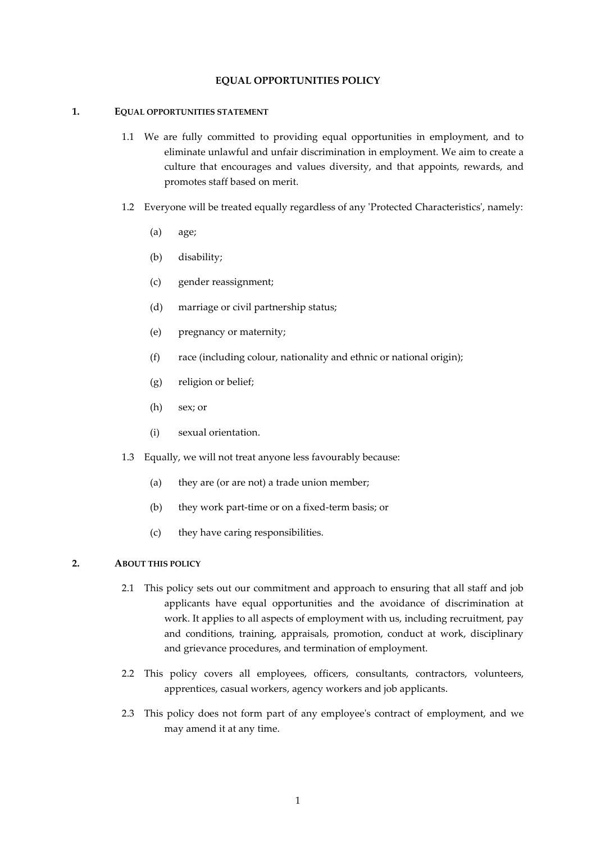### **EQUAL OPPORTUNITIES POLICY**

#### **1. EQUAL OPPORTUNITIES STATEMENT**

- 1.1 We are fully committed to providing equal opportunities in employment, and to eliminate unlawful and unfair discrimination in employment. We aim to create a culture that encourages and values diversity, and that appoints, rewards, and promotes staff based on merit.
- 1.2 Everyone will be treated equally regardless of any 'Protected Characteristics', namely:
	- (a) age;
	- (b) disability;
	- (c) gender reassignment;
	- (d) marriage or civil partnership status;
	- (e) pregnancy or maternity;
	- (f) race (including colour, nationality and ethnic or national origin);
	- (g) religion or belief;
	- (h) sex; or
	- (i) sexual orientation.
- 1.3 Equally, we will not treat anyone less favourably because:
	- (a) they are (or are not) a trade union member;
	- (b) they work part-time or on a fixed-term basis; or
	- (c) they have caring responsibilities.

# **2. ABOUT THIS POLICY**

- 2.1 This policy sets out our commitment and approach to ensuring that all staff and job applicants have equal opportunities and the avoidance of discrimination at work. It applies to all aspects of employment with us, including recruitment, pay and conditions, training, appraisals, promotion, conduct at work, disciplinary and grievance procedures, and termination of employment.
- 2.2 This policy covers all employees, officers, consultants, contractors, volunteers, apprentices, casual workers, agency workers and job applicants.
- 2.3 This policy does not form part of any employee's contract of employment, and we may amend it at any time.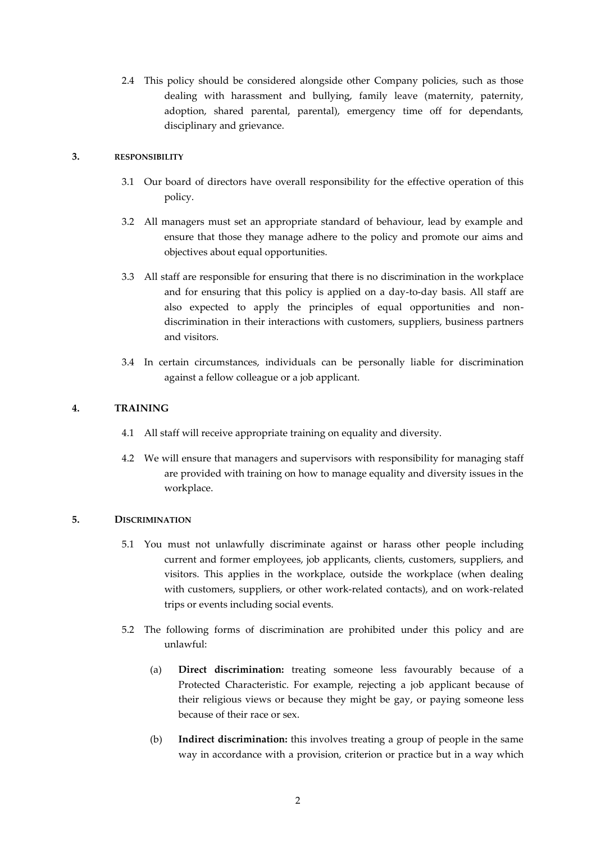2.4 This policy should be considered alongside other Company policies, such as those dealing with harassment and bullying, family leave (maternity, paternity, adoption, shared parental, parental), emergency time off for dependants, disciplinary and grievance.

## **3. RESPONSIBILITY**

- 3.1 Our board of directors have overall responsibility for the effective operation of this policy.
- 3.2 All managers must set an appropriate standard of behaviour, lead by example and ensure that those they manage adhere to the policy and promote our aims and objectives about equal opportunities.
- 3.3 All staff are responsible for ensuring that there is no discrimination in the workplace and for ensuring that this policy is applied on a day-to-day basis. All staff are also expected to apply the principles of equal opportunities and nondiscrimination in their interactions with customers, suppliers, business partners and visitors.
- 3.4 In certain circumstances, individuals can be personally liable for discrimination against a fellow colleague or a job applicant.

# **4. TRAINING**

- 4.1 All staff will receive appropriate training on equality and diversity.
- 4.2 We will ensure that managers and supervisors with responsibility for managing staff are provided with training on how to manage equality and diversity issues in the workplace.

### **5. DISCRIMINATION**

- 5.1 You must not unlawfully discriminate against or harass other people including current and former employees, job applicants, clients, customers, suppliers, and visitors. This applies in the workplace, outside the workplace (when dealing with customers, suppliers, or other work-related contacts), and on work-related trips or events including social events.
- 5.2 The following forms of discrimination are prohibited under this policy and are unlawful:
	- (a) **Direct discrimination:** treating someone less favourably because of a Protected Characteristic. For example, rejecting a job applicant because of their religious views or because they might be gay, or paying someone less because of their race or sex.
	- (b) **Indirect discrimination:** this involves treating a group of people in the same way in accordance with a provision, criterion or practice but in a way which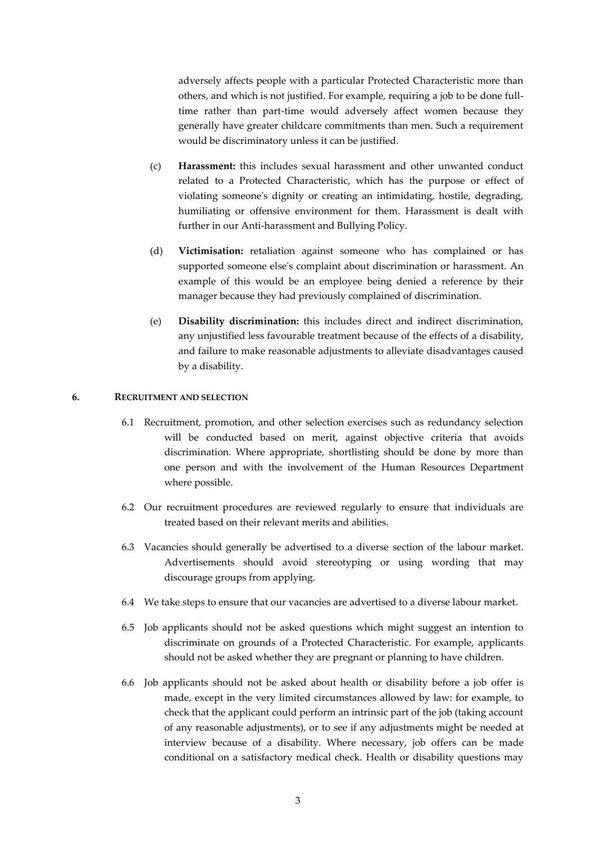adversely affects people with a particular Protected Characteristic more than others, and which is not justified. For example, requiring a job to be done fulltime rather than part-time would adversely affect women because they generally have greater childcare commitments than men. Such a requirement would be discriminatory unless it can be justified.

- (c) **Harassment:** this includes sexual harassment and other unwanted conduct related to a Protected Characteristic, which has the purpose or effect of violating someone's dignity or creating an intimidating, hostile, degrading, humiliating or offensive environment for them. Harassment is dealt with further in our Anti-harassment and Bullying Policy.
- (d) **Victimisation:** retaliation against someone who has complained or has supported someone else's complaint about discrimination or harassment. An example of this would be an employee being denied a reference by their manager because they had previously complained of discrimination.
- (e) **Disability discrimination:** this includes direct and indirect discrimination, any unjustified less favourable treatment because of the effects of a disability, and failure to make reasonable adjustments to alleviate disadvantages caused by a disability.

### **6. RECRUITMENT AND SELECTION**

- 6.1 Recruitment, promotion, and other selection exercises such as redundancy selection will be conducted based on merit, against objective criteria that avoids discrimination. Where appropriate, shortlisting should be done by more than one person and with the involvement of the Human Resources Department where possible.
- 6.2 Our recruitment procedures are reviewed regularly to ensure that individuals are treated based on their relevant merits and abilities.
- 6.3 Vacancies should generally be advertised to a diverse section of the labour market. Advertisements should avoid stereotyping or using wording that may discourage groups from applying.
- 6.4 We take steps to ensure that our vacancies are advertised to a diverse labour market.
- 6.5 Job applicants should not be asked questions which might suggest an intention to discriminate on grounds of a Protected Characteristic. For example, applicants should not be asked whether they are pregnant or planning to have children.
- 6.6 Job applicants should not be asked about health or disability before a job offer is made, except in the very limited circumstances allowed by law: for example, to check that the applicant could perform an intrinsic part of the job (taking account of any reasonable adjustments), or to see if any adjustments might be needed at interview because of a disability. Where necessary, job offers can be made conditional on a satisfactory medical check. Health or disability questions may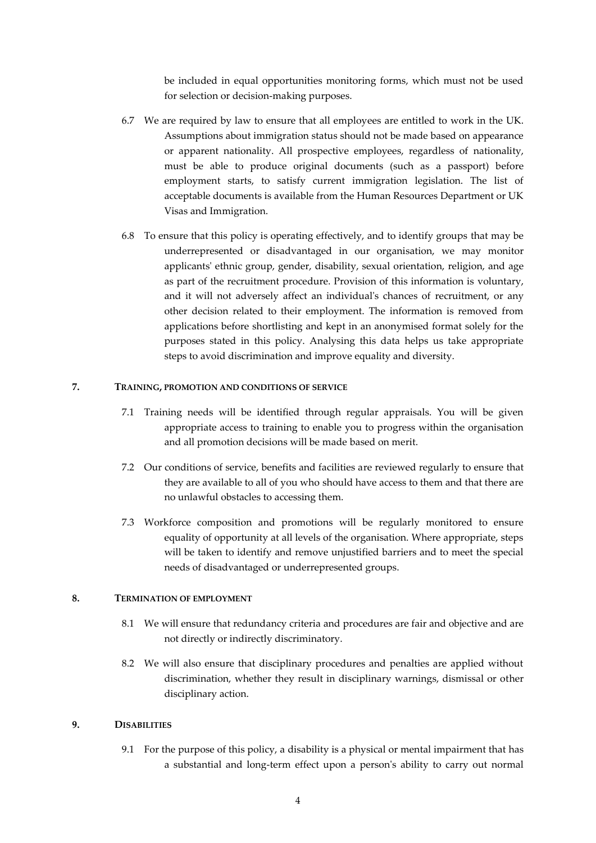be included in equal opportunities monitoring forms, which must not be used for selection or decision-making purposes.

- 6.7 We are required by law to ensure that all employees are entitled to work in the UK. Assumptions about immigration status should not be made based on appearance or apparent nationality. All prospective employees, regardless of nationality, must be able to produce original documents (such as a passport) before employment starts, to satisfy current immigration legislation. The list of acceptable documents is available from the Human Resources Department or UK Visas and Immigration.
- 6.8 To ensure that this policy is operating effectively, and to identify groups that may be underrepresented or disadvantaged in our organisation, we may monitor applicants' ethnic group, gender, disability, sexual orientation, religion, and age as part of the recruitment procedure. Provision of this information is voluntary, and it will not adversely affect an individual's chances of recruitment, or any other decision related to their employment. The information is removed from applications before shortlisting and kept in an anonymised format solely for the purposes stated in this policy. Analysing this data helps us take appropriate steps to avoid discrimination and improve equality and diversity.

### **7. TRAINING, PROMOTION AND CONDITIONS OF SERVICE**

- 7.1 Training needs will be identified through regular appraisals. You will be given appropriate access to training to enable you to progress within the organisation and all promotion decisions will be made based on merit.
- 7.2 Our conditions of service, benefits and facilities are reviewed regularly to ensure that they are available to all of you who should have access to them and that there are no unlawful obstacles to accessing them.
- 7.3 Workforce composition and promotions will be regularly monitored to ensure equality of opportunity at all levels of the organisation. Where appropriate, steps will be taken to identify and remove unjustified barriers and to meet the special needs of disadvantaged or underrepresented groups.

#### **8. TERMINATION OF EMPLOYMENT**

- 8.1 We will ensure that redundancy criteria and procedures are fair and objective and are not directly or indirectly discriminatory.
- 8.2 We will also ensure that disciplinary procedures and penalties are applied without discrimination, whether they result in disciplinary warnings, dismissal or other disciplinary action.

#### **9. DISABILITIES**

9.1 For the purpose of this policy, a disability is a physical or mental impairment that has a substantial and long-term effect upon a person's ability to carry out normal